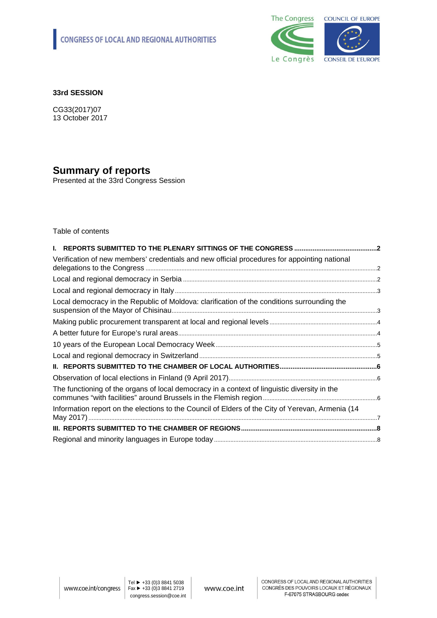

#### **33rd SESSION**

CG33(2017)07 13 October 2017

# **Summary of reports**

Presented at the 33rd Congress Session

Table of contents

| Verification of new members' credentials and new official procedures for appointing national     |  |
|--------------------------------------------------------------------------------------------------|--|
|                                                                                                  |  |
|                                                                                                  |  |
| Local democracy in the Republic of Moldova: clarification of the conditions surrounding the      |  |
|                                                                                                  |  |
|                                                                                                  |  |
|                                                                                                  |  |
|                                                                                                  |  |
|                                                                                                  |  |
|                                                                                                  |  |
| The functioning of the organs of local democracy in a context of linguistic diversity in the     |  |
| Information report on the elections to the Council of Elders of the City of Yerevan, Armenia (14 |  |
|                                                                                                  |  |
|                                                                                                  |  |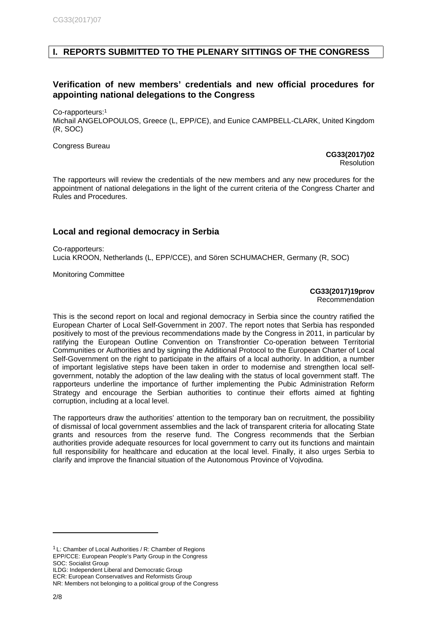# <span id="page-1-0"></span>**I. REPORTS SUBMITTED TO THE PLENARY SITTINGS OF THE CONGRESS**

# <span id="page-1-1"></span>**Verification of new members' credentials and new official procedures for appointing national delegations to the Congress**

Co-rapporteurs:<sup>1</sup>

Michail ANGELOPOULOS, Greece (L, EPP/CE), and Eunice CAMPBELL-CLARK, United Kingdom (R, SOC)

Congress Bureau

**[CG33\(2017\)02](http://rm.coe.int/doc/09000016807026ba)** Resolution

The rapporteurs will review the credentials of the new members and any new procedures for the appointment of national delegations in the light of the current criteria of the Congress Charter and Rules and Procedures.

# <span id="page-1-2"></span>**Local and regional democracy in Serbia**

Co-rapporteurs: Lucia KROON, Netherlands (L, EPP/CCE), and Sören SCHUMACHER, Germany (R, SOC)

Monitoring Committee

**CG33(2017)19prov**  Recommendation

This is the second report on local and regional democracy in Serbia since the country ratified the European Charter of Local Self-Government in 2007. The report notes that Serbia has responded positively to most of the previous recommendations made by the Congress in 2011, in particular by ratifying the European Outline Convention on Transfrontier Co-operation between Territorial Communities or Authorities and by signing the Additional Protocol to the European Charter of Local Self-Government on the right to participate in the affairs of a local authority. In addition, a number of important legislative steps have been taken in order to modernise and strengthen local selfgovernment, notably the adoption of the law dealing with the status of local government staff. The rapporteurs underline the importance of further implementing the Pubic Administration Reform Strategy and encourage the Serbian authorities to continue their efforts aimed at fighting corruption, including at a local level.

The rapporteurs draw the authorities' attention to the temporary ban on recruitment, the possibility of dismissal of local government assemblies and the lack of transparent criteria for allocating State grants and resources from the reserve fund. The Congress recommends that the Serbian authorities provide adequate resources for local government to carry out its functions and maintain full responsibility for healthcare and education at the local level. Finally, it also urges Serbia to clarify and improve the financial situation of the Autonomous Province of Vojvodina.

 $1$  L: Chamber of Local Authorities / R: Chamber of Regions EPP/CCE: European People's Party Group in the Congress SOC: Socialist Group

ILDG: Independent Liberal and Democratic Group

ECR: European Conservatives and Reformists Group

NR: Members not belonging to a political group of the Congress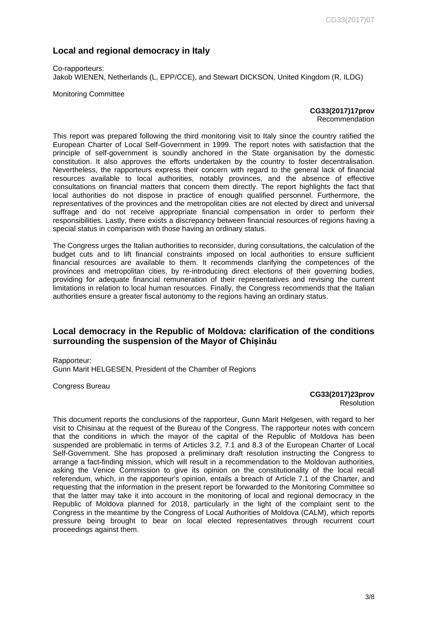# <span id="page-2-0"></span>**Local and regional democracy in Italy**

Co-rapporteurs: Jakob WIENEN, Netherlands (L, EPP/CCE), and Stewart DICKSON, United Kingdom (R, ILDG)

Monitoring Committee

**CG33(2017)17prov** Recommendation

This report was prepared following the third monitoring visit to Italy since the country ratified the European Charter of Local Self-Government in 1999. The report notes with satisfaction that the principle of self-government is soundly anchored in the State organisation by the domestic constitution. It also approves the efforts undertaken by the country to foster decentralisation. Nevertheless, the rapporteurs express their concern with regard to the general lack of financial resources available to local authorities, notably provinces, and the absence of effective consultations on financial matters that concern them directly. The report highlights the fact that local authorities do not dispose in practice of enough qualified personnel. Furthermore, the representatives of the provinces and the metropolitan cities are not elected by direct and universal suffrage and do not receive appropriate financial compensation in order to perform their responsibilities. Lastly, there exists a discrepancy between financial resources of regions having a special status in comparison with those having an ordinary status.

The Congress urges the Italian authorities to reconsider, during consultations, the calculation of the budget cuts and to lift financial constraints imposed on local authorities to ensure sufficient financial resources are available to them. It recommends clarifying the competences of the provinces and metropolitan cities, by re-introducing direct elections of their governing bodies, providing for adequate financial remuneration of their representatives and revising the current limitations in relation to local human resources. Finally, the Congress recommends that the Italian authorities ensure a greater fiscal autonomy to the regions having an ordinary status.

#### <span id="page-2-1"></span>**Local democracy in the Republic of Moldova: clarification of the conditions surrounding the suspension of the Mayor of Chișinău**

Rapporteur: Gunn Marit HELGESEN, President of the Chamber of Regions

Congress Bureau

**CG33(2017)23prov**  Resolution

This document reports the conclusions of the rapporteur, Gunn Marit Helgesen, with regard to her visit to Chisinau at the request of the Bureau of the Congress. The rapporteur notes with concern that the conditions in which the mayor of the capital of the Republic of Moldova has been suspended are problematic in terms of Articles 3.2, 7.1 and 8.3 of the European Charter of Local Self-Government. She has proposed a preliminary draft resolution instructing the Congress to arrange a fact-finding mission, which will result in a recommendation to the Moldovan authorities, asking the Venice Commission to give its opinion on the constitutionality of the local recall referendum, which, in the rapporteur's opinion, entails a breach of Article 7.1 of the Charter, and requesting that the information in the present report be forwarded to the Monitoring Committee so that the latter may take it into account in the monitoring of local and regional democracy in the Republic of Moldova planned for 2018, particularly in the light of the complaint sent to the Congress in the meantime by the Congress of Local Authorities of Moldova (CALM), which reports pressure being brought to bear on local elected representatives through recurrent court proceedings against them.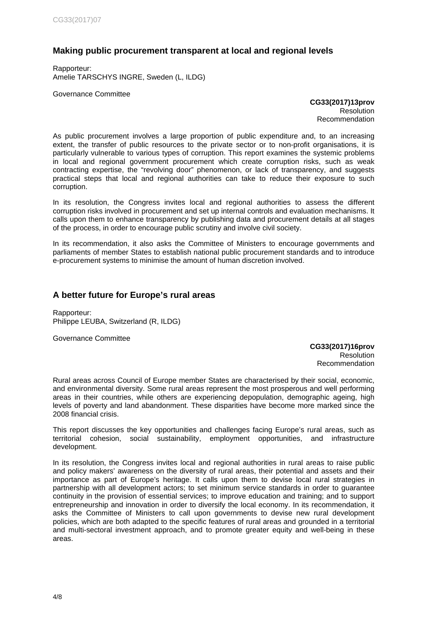# <span id="page-3-0"></span>**Making public procurement transparent at local and regional levels**

Rapporteur: Amelie TARSCHYS INGRE, Sweden (L, ILDG)

Governance Committee

**CG33(2017)13prov Resolution** Recommendation

As public procurement involves a large proportion of public expenditure and, to an increasing extent, the transfer of public resources to the private sector or to non-profit organisations, it is particularly vulnerable to various types of corruption. This report examines the systemic problems in local and regional government procurement which create corruption risks, such as weak contracting expertise, the "revolving door" phenomenon, or lack of transparency, and suggests practical steps that local and regional authorities can take to reduce their exposure to such corruption.

In its resolution, the Congress invites local and regional authorities to assess the different corruption risks involved in procurement and set up internal controls and evaluation mechanisms. It calls upon them to enhance transparency by publishing data and procurement details at all stages of the process, in order to encourage public scrutiny and involve civil society.

In its recommendation, it also asks the Committee of Ministers to encourage governments and parliaments of member States to establish national public procurement standards and to introduce e-procurement systems to minimise the amount of human discretion involved.

# <span id="page-3-1"></span>**A better future for Europe's rural areas**

Rapporteur: Philippe LEUBA, Switzerland (R, ILDG)

Governance Committee

**CG33(2017)16prov Resolution** Recommendation

Rural areas across Council of Europe member States are characterised by their social, economic, and environmental diversity. Some rural areas represent the most prosperous and well performing areas in their countries, while others are experiencing depopulation, demographic ageing, high levels of poverty and land abandonment. These disparities have become more marked since the 2008 financial crisis.

This report discusses the key opportunities and challenges facing Europe's rural areas, such as territorial cohesion, social sustainability, employment opportunities, and infrastructure development.

In its resolution, the Congress invites local and regional authorities in rural areas to raise public and policy makers' awareness on the diversity of rural areas, their potential and assets and their importance as part of Europe's heritage. It calls upon them to devise local rural strategies in partnership with all development actors; to set minimum service standards in order to guarantee continuity in the provision of essential services; to improve education and training; and to support entrepreneurship and innovation in order to diversify the local economy. In its recommendation, it asks the Committee of Ministers to call upon governments to devise new rural development policies, which are both adapted to the specific features of rural areas and grounded in a territorial and multi-sectoral investment approach, and to promote greater equity and well-being in these areas.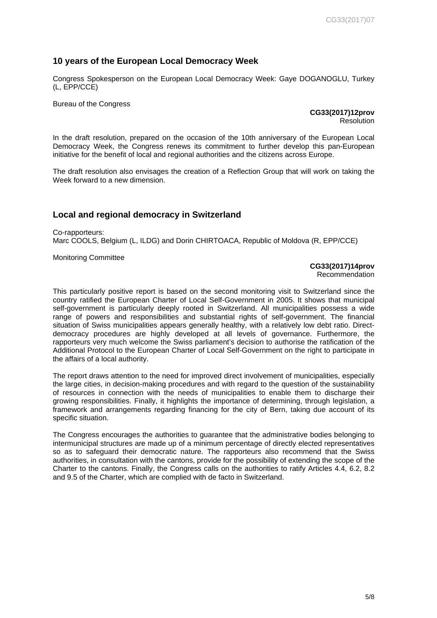#### <span id="page-4-0"></span>**10 years of the European Local Democracy Week**

Congress Spokesperson on the European Local Democracy Week: Gaye DOGANOGLU, Turkey (L, EPP/CCE)

Bureau of the Congress

**CG33(2017)12prov** Resolution

In the draft resolution, prepared on the occasion of the 10th anniversary of the European Local Democracy Week, the Congress renews its commitment to further develop this pan-European initiative for the benefit of local and regional authorities and the citizens across Europe.

The draft resolution also envisages the creation of a Reflection Group that will work on taking the Week forward to a new dimension.

# <span id="page-4-1"></span>**Local and regional democracy in Switzerland**

Co-rapporteurs: Marc COOLS, Belgium (L, ILDG) and Dorin CHIRTOACA, Republic of Moldova (R, EPP/CCE)

Monitoring Committee

#### **CG33(2017)14prov** Recommendation

This particularly positive report is based on the second monitoring visit to Switzerland since the

country ratified the European Charter of Local Self-Government in 2005. It shows that municipal self-government is particularly deeply rooted in Switzerland. All municipalities possess a wide range of powers and responsibilities and substantial rights of self-government. The financial situation of Swiss municipalities appears generally healthy, with a relatively low debt ratio. Directdemocracy procedures are highly developed at all levels of governance. Furthermore, the rapporteurs very much welcome the Swiss parliament's decision to authorise the ratification of the Additional Protocol to the European Charter of Local Self-Government on the right to participate in the affairs of a local authority.

The report draws attention to the need for improved direct involvement of municipalities, especially the large cities, in decision-making procedures and with regard to the question of the sustainability of resources in connection with the needs of municipalities to enable them to discharge their growing responsibilities. Finally, it highlights the importance of determining, through legislation, a framework and arrangements regarding financing for the city of Bern, taking due account of its specific situation.

The Congress encourages the authorities to guarantee that the administrative bodies belonging to intermunicipal structures are made up of a minimum percentage of directly elected representatives so as to safeguard their democratic nature. The rapporteurs also recommend that the Swiss authorities, in consultation with the cantons, provide for the possibility of extending the scope of the Charter to the cantons. Finally, the Congress calls on the authorities to ratify Articles 4.4, 6.2, 8.2 and 9.5 of the Charter, which are complied with de facto in Switzerland.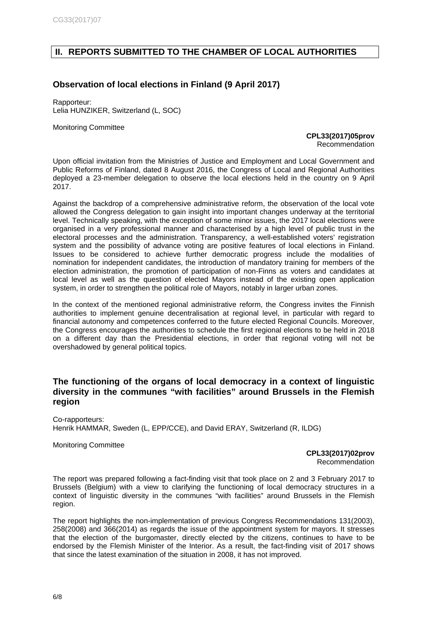# <span id="page-5-0"></span>**II. REPORTS SUBMITTED TO THE CHAMBER OF LOCAL AUTHORITIES**

# <span id="page-5-1"></span>**Observation of local elections in Finland (9 April 2017)**

Rapporteur: Lelia HUNZIKER, Switzerland (L, SOC)

Monitoring Committee

**CPL33(2017)05prov** Recommendation

Upon official invitation from the Ministries of Justice and Employment and Local Government and Public Reforms of Finland, dated 8 August 2016, the Congress of Local and Regional Authorities deployed a 23-member delegation to observe the local elections held in the country on 9 April 2017.

Against the backdrop of a comprehensive administrative reform, the observation of the local vote allowed the Congress delegation to gain insight into important changes underway at the territorial level. Technically speaking, with the exception of some minor issues, the 2017 local elections were organised in a very professional manner and characterised by a high level of public trust in the electoral processes and the administration. Transparency, a well-established voters' registration system and the possibility of advance voting are positive features of local elections in Finland. Issues to be considered to achieve further democratic progress include the modalities of nomination for independent candidates, the introduction of mandatory training for members of the election administration, the promotion of participation of non-Finns as voters and candidates at local level as well as the question of elected Mayors instead of the existing open application system, in order to strengthen the political role of Mayors, notably in larger urban zones.

In the context of the mentioned regional administrative reform, the Congress invites the Finnish authorities to implement genuine decentralisation at regional level, in particular with regard to financial autonomy and competences conferred to the future elected Regional Councils. Moreover, the Congress encourages the authorities to schedule the first regional elections to be held in 2018 on a different day than the Presidential elections, in order that regional voting will not be overshadowed by general political topics.

### <span id="page-5-2"></span>**The functioning of the organs of local democracy in a context of linguistic diversity in the communes "with facilities" around Brussels in the Flemish region**

Co-rapporteurs: Henrik HAMMAR, Sweden (L, EPP/CCE), and David ERAY, Switzerland (R, ILDG)

Monitoring Committee

**CPL33(2017)02prov**  Recommendation

The report was prepared following a fact-finding visit that took place on 2 and 3 February 2017 to Brussels (Belgium) with a view to clarifying the functioning of local democracy structures in a context of linguistic diversity in the communes "with facilities" around Brussels in the Flemish region.

The report highlights the non-implementation of previous Congress Recommendations 131(2003), 258(2008) and 366(2014) as regards the issue of the appointment system for mayors. It stresses that the election of the burgomaster, directly elected by the citizens, continues to have to be endorsed by the Flemish Minister of the Interior. As a result, the fact-finding visit of 2017 shows that since the latest examination of the situation in 2008, it has not improved.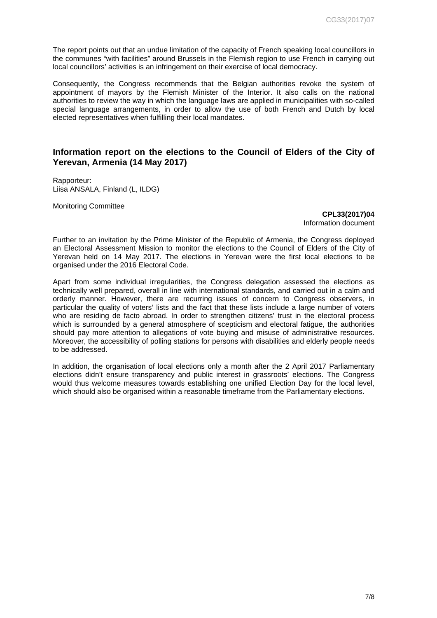The report points out that an undue limitation of the capacity of French speaking local councillors in the communes "with facilities" around Brussels in the Flemish region to use French in carrying out local councillors' activities is an infringement on their exercise of local democracy.

Consequently, the Congress recommends that the Belgian authorities revoke the system of appointment of mayors by the Flemish Minister of the Interior. It also calls on the national authorities to review the way in which the language laws are applied in municipalities with so-called special language arrangements, in order to allow the use of both French and Dutch by local elected representatives when fulfilling their local mandates.

#### <span id="page-6-0"></span>**Information report on the elections to the Council of Elders of the City of Yerevan, Armenia (14 May 2017)**

Rapporteur: Liisa ANSALA, Finland (L, ILDG)

Monitoring Committee

**CPL33(2017)04** Information document

Further to an invitation by the Prime Minister of the Republic of Armenia, the Congress deployed an Electoral Assessment Mission to monitor the elections to the Council of Elders of the City of Yerevan held on 14 May 2017. The elections in Yerevan were the first local elections to be organised under the 2016 Electoral Code.

Apart from some individual irregularities, the Congress delegation assessed the elections as technically well prepared, overall in line with international standards, and carried out in a calm and orderly manner. However, there are recurring issues of concern to Congress observers, in particular the quality of voters' lists and the fact that these lists include a large number of voters who are residing de facto abroad. In order to strengthen citizens' trust in the electoral process which is surrounded by a general atmosphere of scepticism and electoral fatigue, the authorities should pay more attention to allegations of vote buying and misuse of administrative resources. Moreover, the accessibility of polling stations for persons with disabilities and elderly people needs to be addressed.

In addition, the organisation of local elections only a month after the 2 April 2017 Parliamentary elections didn't ensure transparency and public interest in grassroots' elections. The Congress would thus welcome measures towards establishing one unified Election Day for the local level, which should also be organised within a reasonable timeframe from the Parliamentary elections.